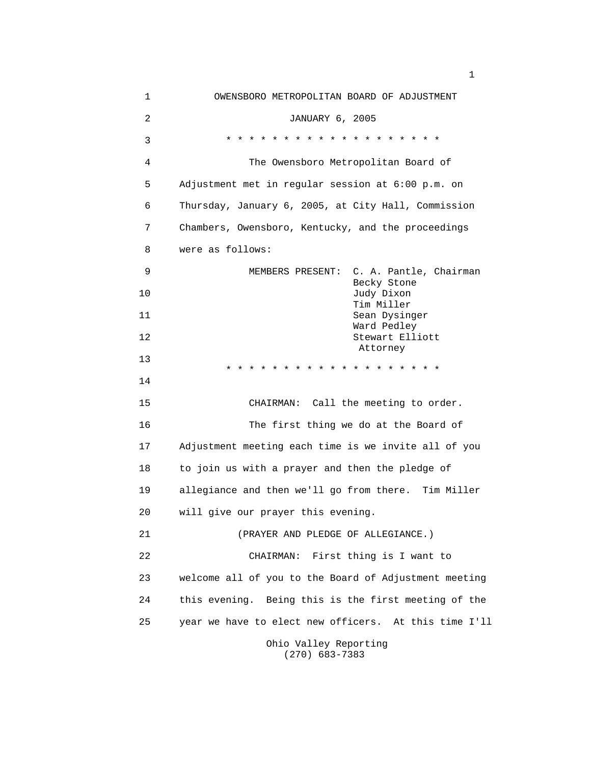1 OWENSBORO METROPOLITAN BOARD OF ADJUSTMENT 2 JANUARY 6, 2005 3 \* \* \* \* \* \* \* \* \* \* \* \* \* \* \* \* \* \* \* 4 The Owensboro Metropolitan Board of 5 Adjustment met in regular session at 6:00 p.m. on 6 Thursday, January 6, 2005, at City Hall, Commission 7 Chambers, Owensboro, Kentucky, and the proceedings 8 were as follows: 9 MEMBERS PRESENT: C. A. Pantle, Chairman Becky Stone 10 Judy Dixon Tim Miller 11 Sean Dysinger Ward Pedley 12 Stewart Elliott Attorney 13 \* \* \* \* \* \* \* \* \* \* \* \* \* \* \* \* \* \* \* 14 15 CHAIRMAN: Call the meeting to order. 16 The first thing we do at the Board of 17 Adjustment meeting each time is we invite all of you 18 to join us with a prayer and then the pledge of 19 allegiance and then we'll go from there. Tim Miller 20 will give our prayer this evening. 21 (PRAYER AND PLEDGE OF ALLEGIANCE.) 22 CHAIRMAN: First thing is I want to 23 welcome all of you to the Board of Adjustment meeting 24 this evening. Being this is the first meeting of the 25 year we have to elect new officers. At this time I'll Ohio Valley Reporting

(270) 683-7383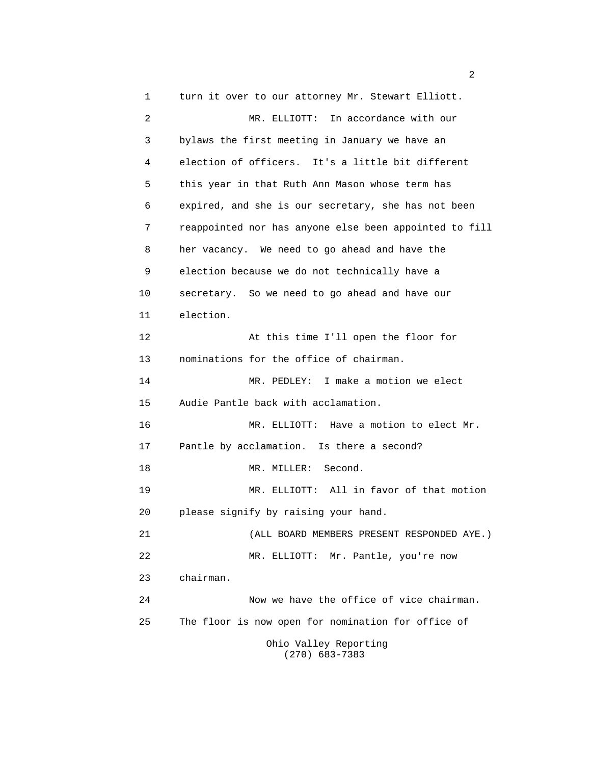1 turn it over to our attorney Mr. Stewart Elliott. 2 MR. ELLIOTT: In accordance with our 3 bylaws the first meeting in January we have an 4 election of officers. It's a little bit different 5 this year in that Ruth Ann Mason whose term has 6 expired, and she is our secretary, she has not been 7 reappointed nor has anyone else been appointed to fill 8 her vacancy. We need to go ahead and have the 9 election because we do not technically have a 10 secretary. So we need to go ahead and have our 11 election. 12 At this time I'll open the floor for 13 nominations for the office of chairman. 14 MR. PEDLEY: I make a motion we elect 15 Audie Pantle back with acclamation. 16 MR. ELLIOTT: Have a motion to elect Mr. 17 Pantle by acclamation. Is there a second? 18 MR. MILLER: Second. 19 MR. ELLIOTT: All in favor of that motion 20 please signify by raising your hand. 21 (ALL BOARD MEMBERS PRESENT RESPONDED AYE.) 22 MR. ELLIOTT: Mr. Pantle, you're now 23 chairman. 24 Now we have the office of vice chairman. 25 The floor is now open for nomination for office of Ohio Valley Reporting (270) 683-7383

 $\sim$  2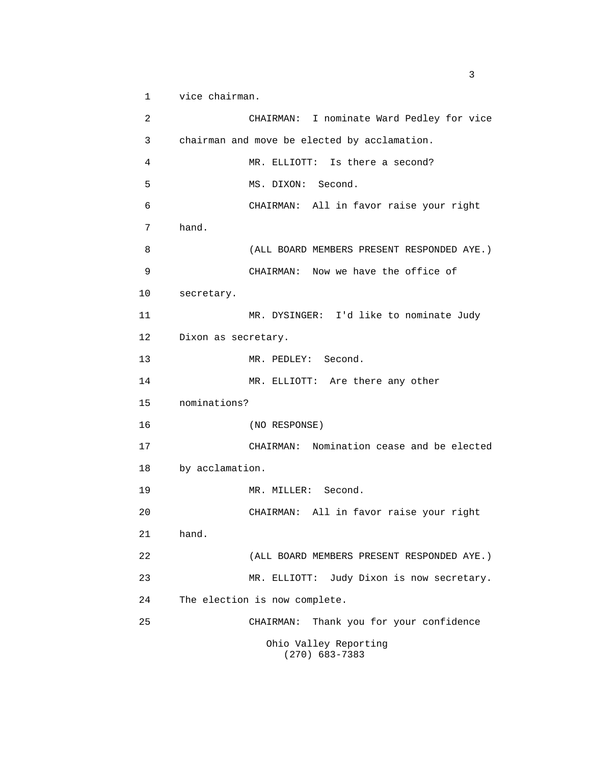1 vice chairman.

 2 CHAIRMAN: I nominate Ward Pedley for vice 3 chairman and move be elected by acclamation. 4 MR. ELLIOTT: Is there a second? 5 MS. DIXON: Second. 6 CHAIRMAN: All in favor raise your right 7 hand. 8 (ALL BOARD MEMBERS PRESENT RESPONDED AYE.) 9 CHAIRMAN: Now we have the office of 10 secretary. 11 MR. DYSINGER: I'd like to nominate Judy 12 Dixon as secretary. 13 MR. PEDLEY: Second. 14 MR. ELLIOTT: Are there any other 15 nominations? 16 (NO RESPONSE) 17 CHAIRMAN: Nomination cease and be elected 18 by acclamation. 19 MR. MILLER: Second. 20 CHAIRMAN: All in favor raise your right 21 hand. 22 (ALL BOARD MEMBERS PRESENT RESPONDED AYE.) 23 MR. ELLIOTT: Judy Dixon is now secretary. 24 The election is now complete. 25 CHAIRMAN: Thank you for your confidence Ohio Valley Reporting (270) 683-7383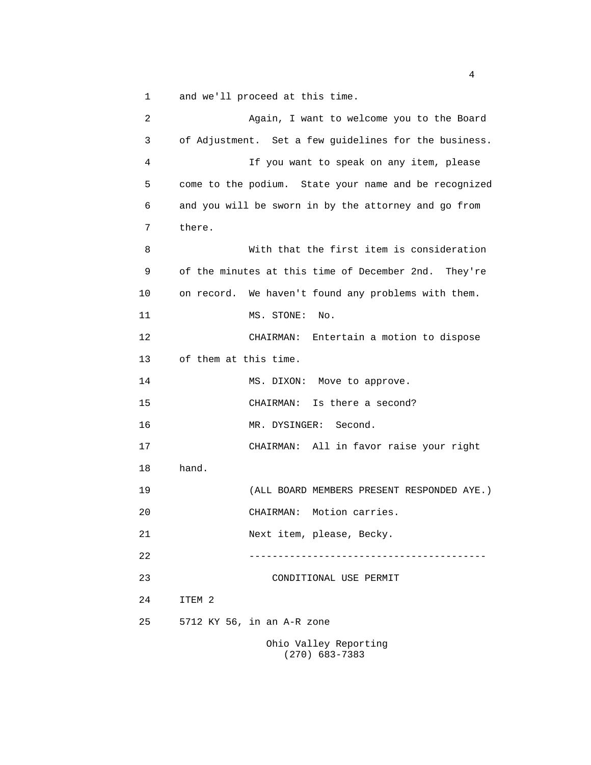1 and we'll proceed at this time.

 2 Again, I want to welcome you to the Board 3 of Adjustment. Set a few guidelines for the business. 4 If you want to speak on any item, please 5 come to the podium. State your name and be recognized 6 and you will be sworn in by the attorney and go from 7 there. 8 With that the first item is consideration 9 of the minutes at this time of December 2nd. They're 10 on record. We haven't found any problems with them. 11 MS. STONE: No. 12 CHAIRMAN: Entertain a motion to dispose 13 of them at this time. 14 MS. DIXON: Move to approve. 15 CHAIRMAN: Is there a second? 16 MR. DYSINGER: Second. 17 CHAIRMAN: All in favor raise your right 18 hand. 19 (ALL BOARD MEMBERS PRESENT RESPONDED AYE.) 20 CHAIRMAN: Motion carries. 21 Next item, please, Becky. 22 ----------------------------------------- 23 CONDITIONAL USE PERMIT 24 ITEM 2 25 5712 KY 56, in an A-R zone Ohio Valley Reporting (270) 683-7383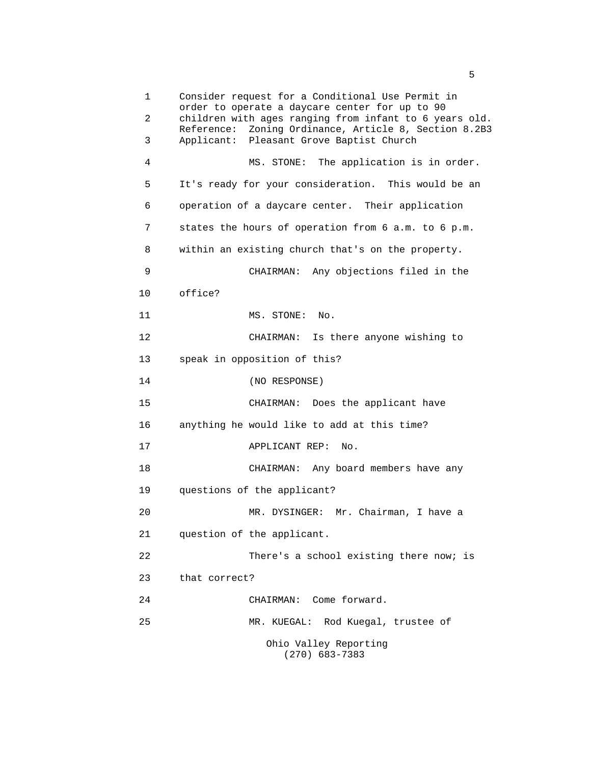1 Consider request for a Conditional Use Permit in order to operate a daycare center for up to 90 2 children with ages ranging from infant to 6 years old. Reference: Zoning Ordinance, Article 8, Section 8.2B3 3 Applicant: Pleasant Grove Baptist Church 4 MS. STONE: The application is in order. 5 It's ready for your consideration. This would be an 6 operation of a daycare center. Their application 7 states the hours of operation from 6 a.m. to 6 p.m. 8 within an existing church that's on the property. 9 CHAIRMAN: Any objections filed in the 10 office? 11 MS. STONE: No. 12 CHAIRMAN: Is there anyone wishing to 13 speak in opposition of this? 14 (NO RESPONSE) 15 CHAIRMAN: Does the applicant have 16 anything he would like to add at this time? 17 APPLICANT REP: No. 18 CHAIRMAN: Any board members have any 19 questions of the applicant? 20 MR. DYSINGER: Mr. Chairman, I have a 21 question of the applicant. 22 There's a school existing there now; is 23 that correct? 24 CHAIRMAN: Come forward. 25 MR. KUEGAL: Rod Kuegal, trustee of Ohio Valley Reporting (270) 683-7383

 $\sim$  5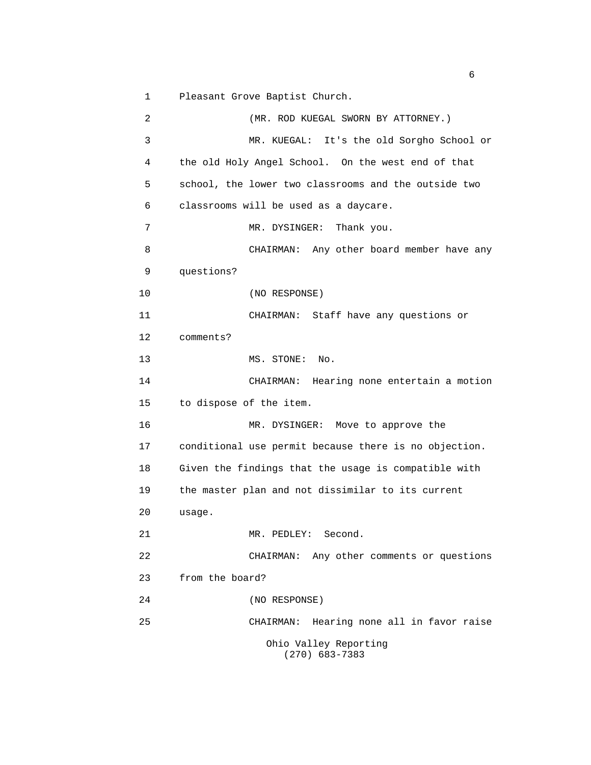1 Pleasant Grove Baptist Church.

 2 (MR. ROD KUEGAL SWORN BY ATTORNEY.) 3 MR. KUEGAL: It's the old Sorgho School or 4 the old Holy Angel School. On the west end of that 5 school, the lower two classrooms and the outside two 6 classrooms will be used as a daycare. 7 MR. DYSINGER: Thank you. 8 CHAIRMAN: Any other board member have any 9 questions? 10 (NO RESPONSE) 11 CHAIRMAN: Staff have any questions or 12 comments? 13 MS. STONE: No. 14 CHAIRMAN: Hearing none entertain a motion 15 to dispose of the item. 16 MR. DYSINGER: Move to approve the 17 conditional use permit because there is no objection. 18 Given the findings that the usage is compatible with 19 the master plan and not dissimilar to its current 20 usage. 21 MR. PEDLEY: Second. 22 CHAIRMAN: Any other comments or questions 23 from the board? 24 (NO RESPONSE) 25 CHAIRMAN: Hearing none all in favor raise Ohio Valley Reporting (270) 683-7383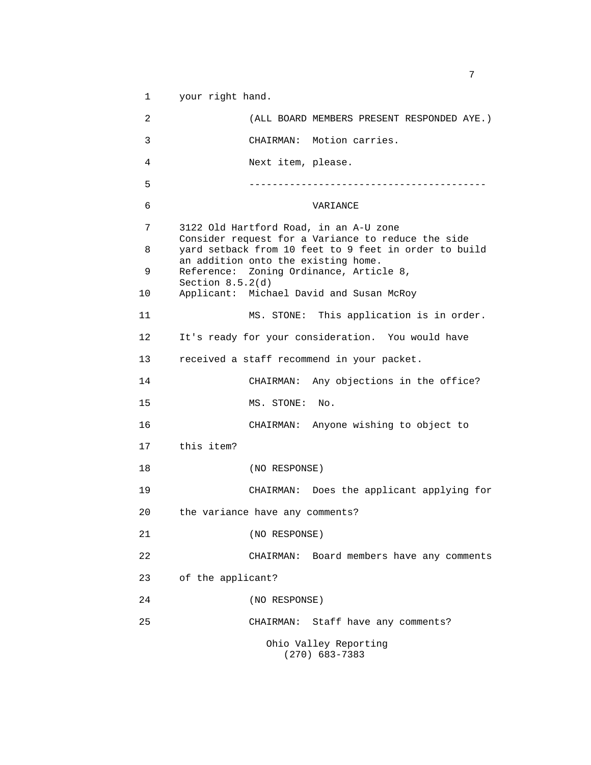1 your right hand.

 2 (ALL BOARD MEMBERS PRESENT RESPONDED AYE.) 3 CHAIRMAN: Motion carries. 4 Next item, please. 5 ----------------------------------------- 6 VARIANCE 7 3122 Old Hartford Road, in an A-U zone Consider request for a Variance to reduce the side 8 yard setback from 10 feet to 9 feet in order to build an addition onto the existing home. 9 Reference: Zoning Ordinance, Article 8, Section 8.5.2(d) 10 Applicant: Michael David and Susan McRoy 11 MS. STONE: This application is in order. 12 It's ready for your consideration. You would have 13 received a staff recommend in your packet. 14 CHAIRMAN: Any objections in the office? 15 MS. STONE: No. 16 CHAIRMAN: Anyone wishing to object to 17 this item? 18 (NO RESPONSE) 19 CHAIRMAN: Does the applicant applying for 20 the variance have any comments? 21 (NO RESPONSE) 22 CHAIRMAN: Board members have any comments 23 of the applicant? 24 (NO RESPONSE) 25 CHAIRMAN: Staff have any comments? Ohio Valley Reporting (270) 683-7383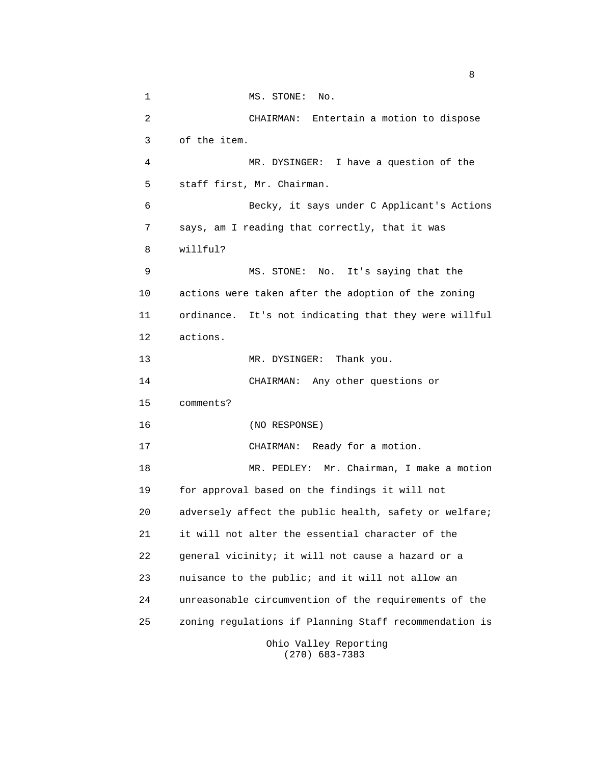1 MS. STONE: No. 2 CHAIRMAN: Entertain a motion to dispose 3 of the item. 4 MR. DYSINGER: I have a question of the 5 staff first, Mr. Chairman. 6 Becky, it says under C Applicant's Actions 7 says, am I reading that correctly, that it was 8 willful? 9 MS. STONE: No. It's saying that the 10 actions were taken after the adoption of the zoning 11 ordinance. It's not indicating that they were willful 12 actions. 13 MR. DYSINGER: Thank you. 14 CHAIRMAN: Any other questions or 15 comments? 16 (NO RESPONSE) 17 CHAIRMAN: Ready for a motion. 18 MR. PEDLEY: Mr. Chairman, I make a motion 19 for approval based on the findings it will not 20 adversely affect the public health, safety or welfare; 21 it will not alter the essential character of the 22 general vicinity; it will not cause a hazard or a 23 nuisance to the public; and it will not allow an 24 unreasonable circumvention of the requirements of the 25 zoning regulations if Planning Staff recommendation is Ohio Valley Reporting

(270) 683-7383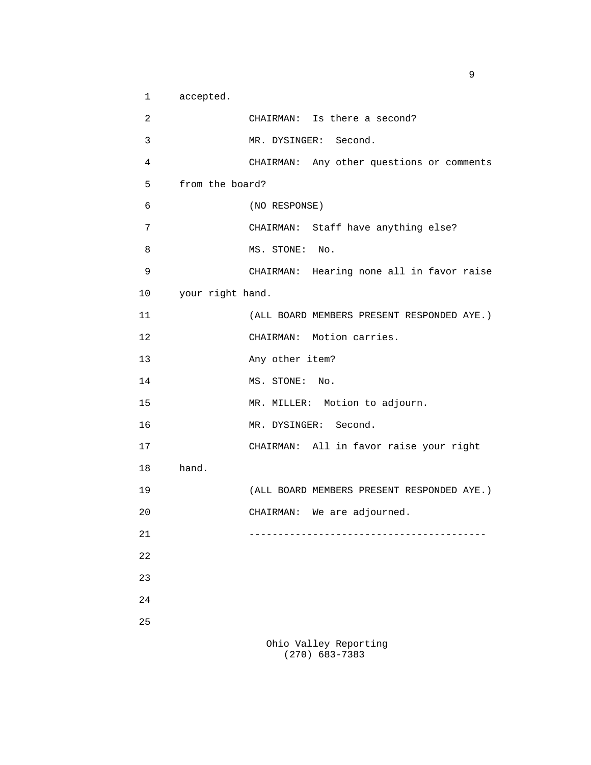1 accepted. 2 CHAIRMAN: Is there a second? 3 MR. DYSINGER: Second. 4 CHAIRMAN: Any other questions or comments 5 from the board? 6 (NO RESPONSE) 7 CHAIRMAN: Staff have anything else? 8 MS. STONE: No. 9 CHAIRMAN: Hearing none all in favor raise 10 your right hand. 11 (ALL BOARD MEMBERS PRESENT RESPONDED AYE.) 12 CHAIRMAN: Motion carries. 13 Any other item? 14 MS. STONE: No. 15 MR. MILLER: Motion to adjourn. 16 MR. DYSINGER: Second. 17 CHAIRMAN: All in favor raise your right 18 hand. 19 (ALL BOARD MEMBERS PRESENT RESPONDED AYE.) 20 CHAIRMAN: We are adjourned. 21 ----------------------------------------- 22 23 24 25 Ohio Valley Reporting

(270) 683-7383